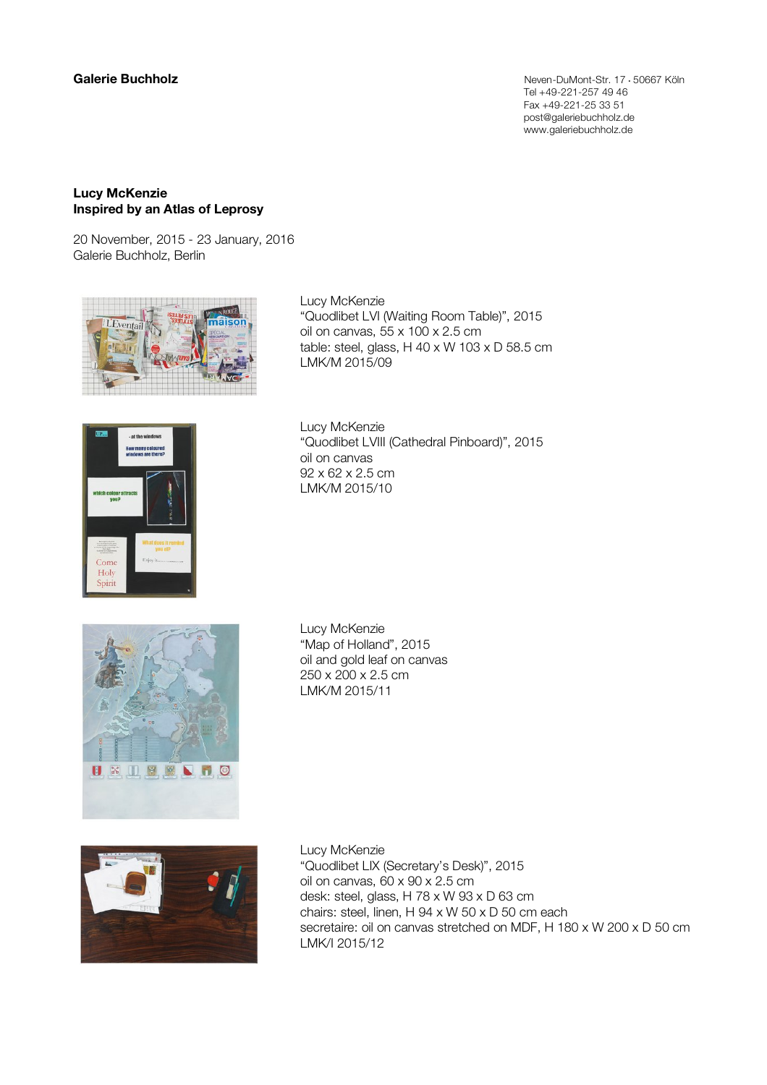**Galerie Buchholz Calerie Buchholz Neven-DuMont-Str. 17 · 50667 Köln** Tel +49-221-257 49 46 Fax +49-221-25 33 51 post@galeriebuchholz.de www.galeriebuchholz.de

## Lucy McKenzie Inspired by an Atlas of Leprosy

20 November, 2015 - 23 January, 2016 Galerie Buchholz, Berlin



Lucy McKenzie "Quodlibet LVI (Waiting Room Table)", 2015 oil on canvas, 55 x 100 x 2.5 cm table: steel, glass, H 40 x W 103 x D 58.5 cm LMK/M 2015/09



Lucy McKenzie "Quodlibet LVIII (Cathedral Pinboard)", 2015 oil on canvas 92 x 62 x 2.5 cm LMK/M 2015/10



Lucy McKenzie "Map of Holland", 2015 oil and gold leaf on canvas 250 x 200 x 2.5 cm LMK/M 2015/11



Lucy McKenzie "Quodlibet LIX (Secretary's Desk)", 2015 oil on canvas, 60 x 90 x 2.5 cm desk: steel, glass, H 78 x W 93 x D 63 cm chairs: steel, linen, H 94 x W 50 x D 50 cm each secretaire: oil on canvas stretched on MDF, H 180 x W 200 x D 50 cm LMK/I 2015/12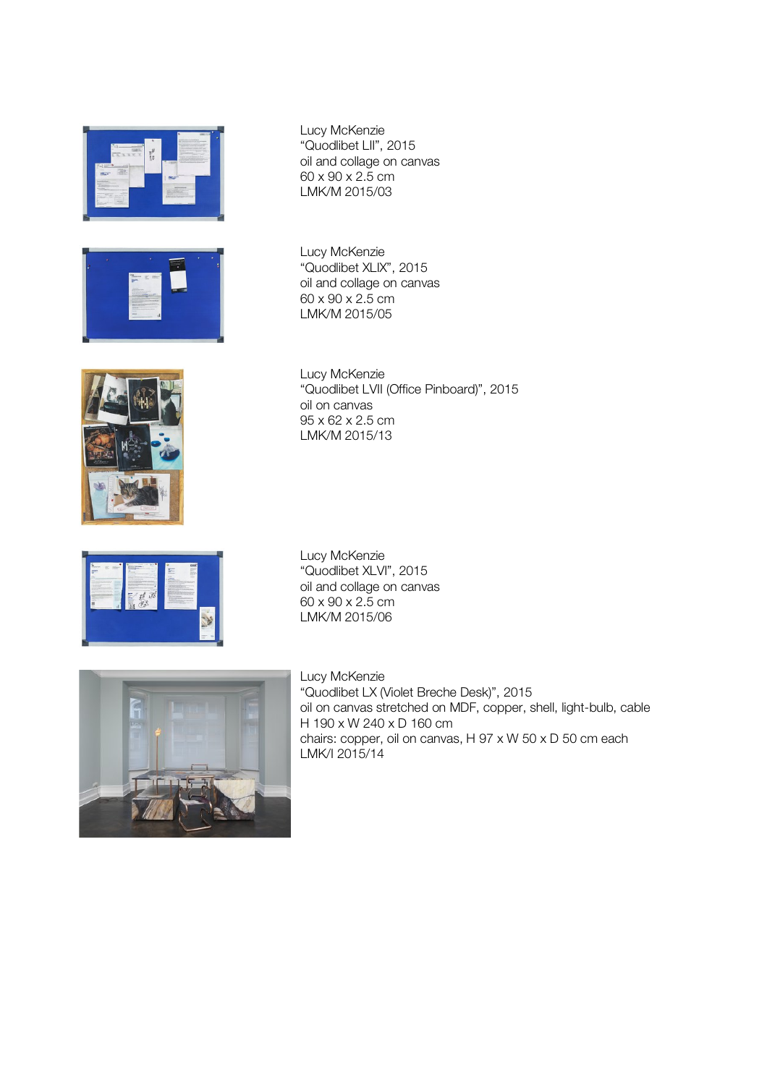





Lucy McKenzie "Quodlibet LII", 2015 oil and collage on canvas 60 x 90 x 2.5 cm LMK/M 2015/03

Lucy McKenzie "Quodlibet XLIX", 2015 oil and collage on canvas 60 x 90 x 2.5 cm LMK/M 2015/05

Lucy McKenzie "Quodlibet LVII (Office Pinboard)", 2015 oil on canvas 95 x 62 x 2.5 cm LMK/M 2015/13

Lucy McKenzie "Quodlibet XLVI", 2015 oil and collage on canvas 60 x 90 x 2.5 cm LMK/M 2015/06



Lucy McKenzie "Quodlibet LX (Violet Breche Desk)", 2015 oil on canvas stretched on MDF, copper, shell, light-bulb, cable H 190 x W 240 x D 160 cm chairs: copper, oil on canvas, H 97 x W 50 x D 50 cm each LMK/I 2015/14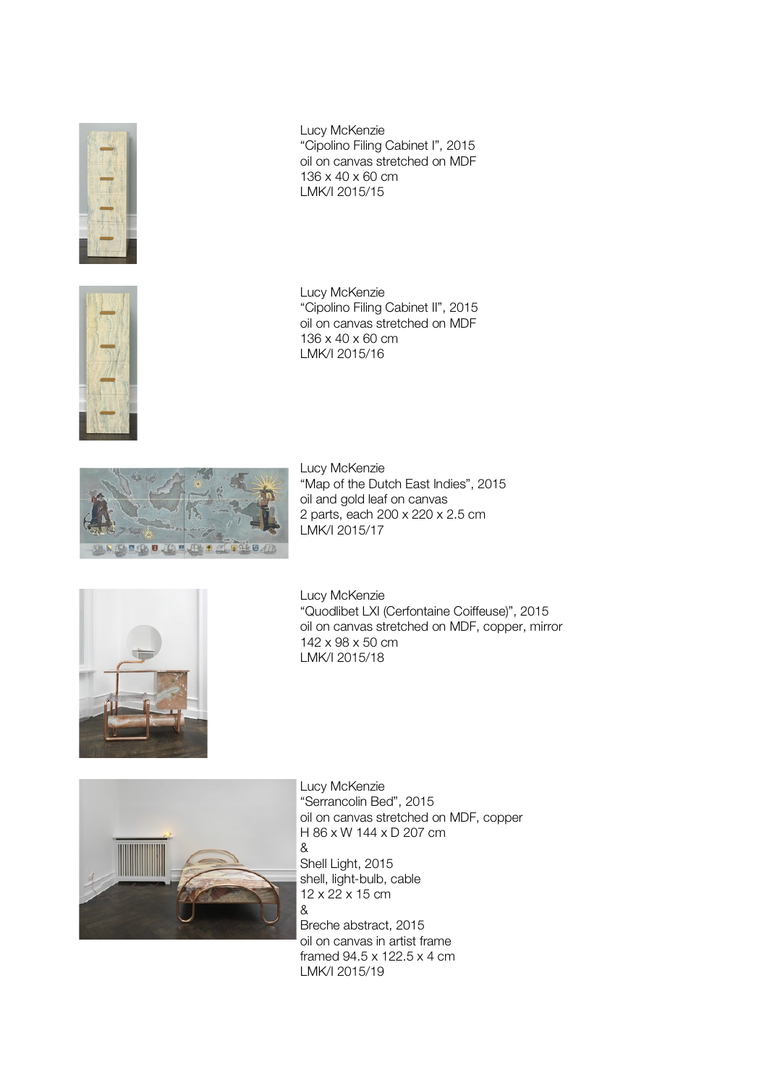

Lucy McKenzie "Cipolino Filing Cabinet I", 2015 oil on canvas stretched on MDF 136 x 40 x 60 cm LMK/I 2015/15



Lucy McKenzie "Cipolino Filing Cabinet II", 2015 oil on canvas stretched on MDF 136 x 40 x 60 cm LMK/I 2015/16



Lucy McKenzie "Map of the Dutch East Indies", 2015 oil and gold leaf on canvas 2 parts, each 200 x 220 x 2.5 cm LMK/I 2015/17



Lucy McKenzie

"Quodlibet LXI (Cerfontaine Coiffeuse)", 2015 oil on canvas stretched on MDF, copper, mirror 142 x 98 x 50 cm LMK/I 2015/18



Lucy McKenzie "Serrancolin Bed", 2015 oil on canvas stretched on MDF, copper H 86 x W 144 x D 207 cm & Shell Light, 2015 shell, light-bulb, cable 12 x 22 x 15 cm & Breche abstract, 2015 oil on canvas in artist frame framed 94.5 x 122.5 x 4 cm LMK/I 2015/19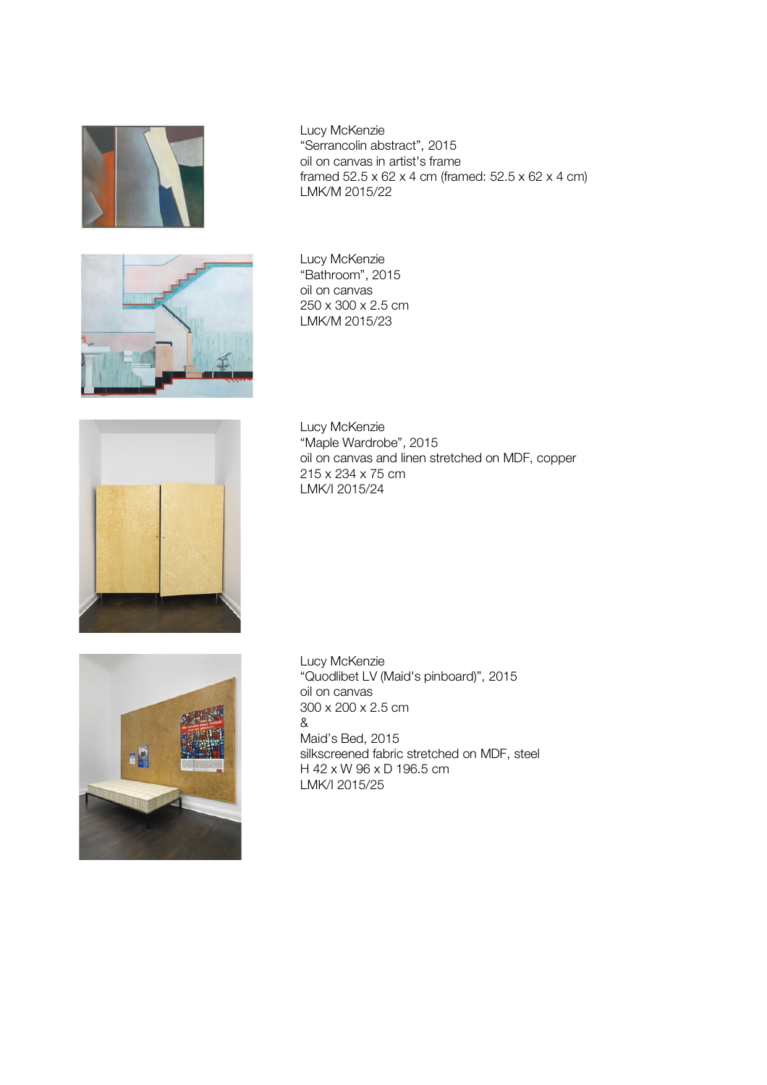

Lucy McKenzie "Serrancolin abstract", 2015 oil on canvas in artist's frame framed 52.5 x 62 x 4 cm (framed: 52.5 x 62 x 4 cm) LMK/M 2015/22

Lucy McKenzie "Bathroom", 2015 oil on canvas 250 x 300 x 2.5 cm LMK/M 2015/23



Lucy McKenzie "Maple Wardrobe", 2015 oil on canvas and linen stretched on MDF, copper 215 x 234 x 75 cm LMK/I 2015/24



Lucy McKenzie "Quodlibet LV (Maid's pinboard)", 2015 oil on canvas 300 x 200 x 2.5 cm & Maid's Bed, 2015 silkscreened fabric stretched on MDF, steel H 42 x W 96 x D 196.5 cm LMK/I 2015/25